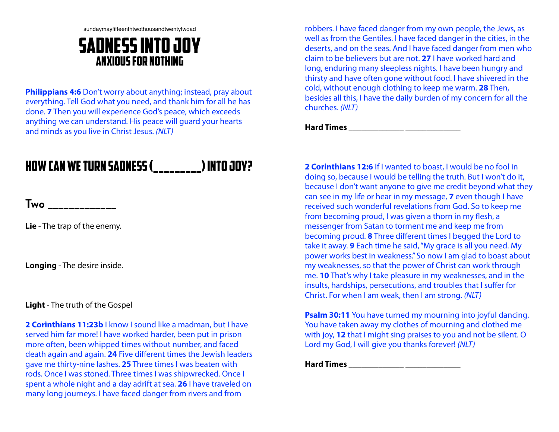sundaymayfifteenthtwothousandtwentytwoad

## Sadness into joy Anxious For Nothing

**Philippians 4:6** Don't worry about anything; instead, pray about everything. Tell God what you need, and thank him for all he has done. **7** Then you will experience God's peace, which exceeds anything we can understand. His peace will guard your hearts and minds as you live in Christ Jesus. *(NLT)*

# How can we TURN SADNESS (\_\_\_\_\_\_\_\_\_) INTO Joy?

**Two \_\_\_\_\_\_\_\_\_\_\_\_\_**

**Lie** - The trap of the enemy.

**Longing** - The desire inside.

**Light** - The truth of the Gospel

**2 Corinthians 11:23b** I know I sound like a madman, but I have served him far more! I have worked harder, been put in prison more often, been whipped times without number, and faced death again and again. **24** Five different times the Jewish leaders gave me thirty-nine lashes. **25** Three times I was beaten with rods. Once I was stoned. Three times I was shipwrecked. Once I spent a whole night and a day adrift at sea. **26** I have traveled on many long journeys. I have faced danger from rivers and from

robbers. I have faced danger from my own people, the Jews, as well as from the Gentiles. I have faced danger in the cities, in the deserts, and on the seas. And I have faced danger from men who claim to be believers but are not. **27** I have worked hard and long, enduring many sleepless nights. I have been hungry and thirsty and have often gone without food. I have shivered in the cold, without enough clothing to keep me warm. **28** Then, besides all this, I have the daily burden of my concern for all the churches. *(NLT)*

**Hard Times \_\_\_\_\_\_\_\_\_\_\_\_\_ \_\_\_\_\_\_\_\_\_\_\_\_\_**

**2 Corinthians 12:6** If I wanted to boast, I would be no fool in doing so, because I would be telling the truth. But I won't do it, because I don't want anyone to give me credit beyond what they can see in my life or hear in my message, **7** even though I have received such wonderful revelations from God. So to keep me from becoming proud, I was given a thorn in my flesh, a messenger from Satan to torment me and keep me from becoming proud. **8** Three different times I begged the Lord to take it away. **9** Each time he said, "My grace is all you need. My power works best in weakness." So now I am glad to boast about my weaknesses, so that the power of Christ can work through me. **10** That's why I take pleasure in my weaknesses, and in the insults, hardships, persecutions, and troubles that I suffer for Christ. For when I am weak, then I am strong. *(NLT)*

**Psalm 30:11** You have turned my mourning into joyful dancing. You have taken away my clothes of mourning and clothed me with joy, **12** that I might sing praises to you and not be silent. O Lord my God, I will give you thanks forever! *(NLT)*

**Hard Times \_\_\_\_\_\_\_\_\_\_\_\_\_ \_\_\_\_\_\_\_\_\_\_\_\_\_**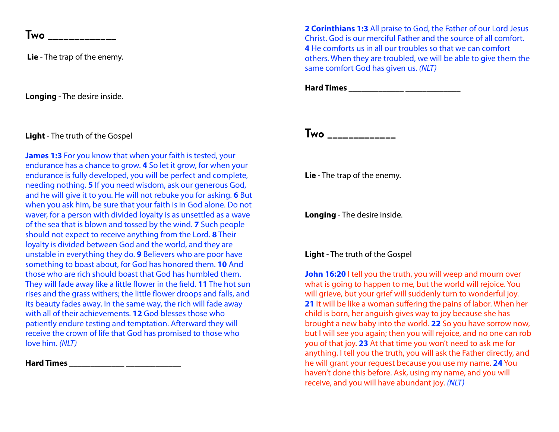**Two** \_\_\_\_\_\_\_\_\_\_

**Lie** - The trap of the enemy.

**Longing** - The desire inside.

### **Light** - The truth of the Gospel

**James 1:3** For you know that when your faith is tested, your endurance has a chance to grow. **4** So let it grow, for when your endurance is fully developed, you will be perfect and complete, needing nothing. **5** If you need wisdom, ask our generous God, and he will give it to you. He will not rebuke you for asking. **6** But when you ask him, be sure that your faith is in God alone. Do not waver, for a person with divided loyalty is as unsettled as a wave of the sea that is blown and tossed by the wind. **7** Such people should not expect to receive anything from the Lord. **8** Their loyalty is divided between God and the world, and they are unstable in everything they do. **9** Believers who are poor have something to boast about, for God has honored them. **10** And those who are rich should boast that God has humbled them. They will fade away like a little flower in the field. **11** The hot sun rises and the grass withers; the little flower droops and falls, and its beauty fades away. In the same way, the rich will fade away with all of their achievements. **12** God blesses those who patiently endure testing and temptation. Afterward they will receive the crown of life that God has promised to those who love him. *(NLT)*

**Hard Times \_\_\_\_\_\_\_\_\_\_\_\_\_ \_\_\_\_\_\_\_\_\_\_\_\_\_**

**2 Corinthians 1:3** All praise to God, the Father of our Lord Jesus Christ. God is our merciful Father and the source of all comfort. **4** He comforts us in all our troubles so that we can comfort others. When they are troubled, we will be able to give them the same comfort God has given us. *(NLT)*

**Hard Times \_\_\_\_\_\_\_\_\_\_\_\_\_ \_\_\_\_\_\_\_\_\_\_\_\_\_**

**Two \_\_\_\_\_\_\_\_\_\_\_\_\_**

**Lie** - The trap of the enemy.

**Longing** - The desire inside.

#### **Light** - The truth of the Gospel

**John 16:20** I tell you the truth, you will weep and mourn over what is going to happen to me, but the world will rejoice. You will grieve, but your grief will suddenly turn to wonderful joy. **21** It will be like a woman suffering the pains of labor. When her child is born, her anguish gives way to joy because she has brought a new baby into the world. **22** So you have sorrow now, but I will see you again; then you will rejoice, and no one can rob you of that joy. **23** At that time you won't need to ask me for anything. I tell you the truth, you will ask the Father directly, and he will grant your request because you use my name. **24** You haven't done this before. Ask, using my name, and you will receive, and you will have abundant joy. *(NLT)*